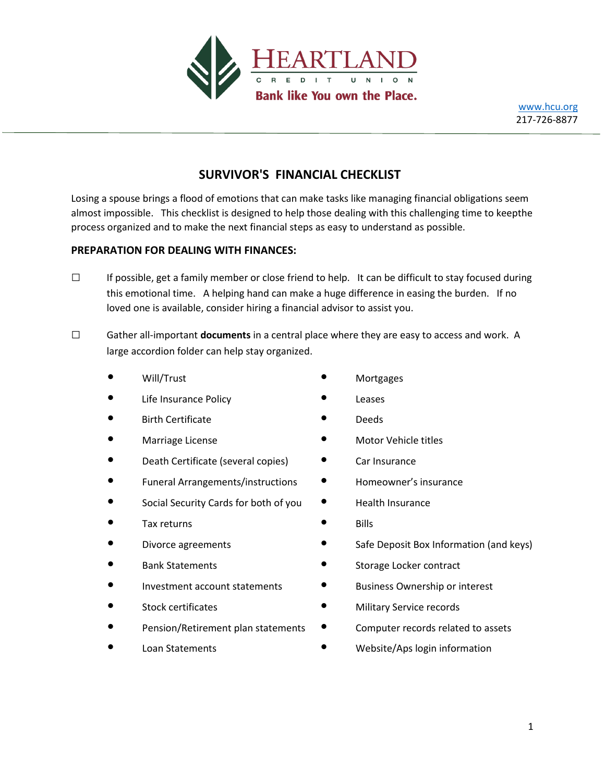

# **SURVIVOR'S FINANCIAL CHECKLIST**

process organized and to make the next financial steps as easy to understand as possible. almost impossible. This checklist is designed to help those dealing with this challenging time to keepthe Losing a spouse brings a flood of emotions that can make tasks like managing financial obligations seem

## **PREPARATION FOR DEALING WITH FINANCES:**

- loved one is available, consider hiring a financial advisor to assist you. this emotional time. A helping hand can make a huge difference in easing the burden. If no □ If possible, get a family member or close friend to help. It can be difficult to stay focused during
- large accordion folder can help stay organized. □ Gather all-important **documents** in a central place where they are easy to access and work. A
	- Will/Trust **•** Mortgages
	- Life Insurance Policy  **Claudion Leases**
	- **Birth Certificate blue as the contract of the Certificate Deeds**
	-
	- Death Certificate (several copies) Car Insurance
	- Funeral Arrangements/instructions Homeowner's insurance
	- Social Security Cards for both of you Health Insurance
	- Tax returns Bills
	-
	-
	- Investment account statements Business Ownership or interest
	-
	-
	-
- 
- 
- 
- Marriage License  **Motor Vehicle titles** 
	-
	-
	-
	-
- Divorce agreements Safe Deposit Box Information (and keys)
- Bank Statements Storage Locker contract
	-
- Stock certificates Military Service records
	- Pension/Retirement plan statements Computer records related to assets
	- Loan Statements **•** Website/Aps login information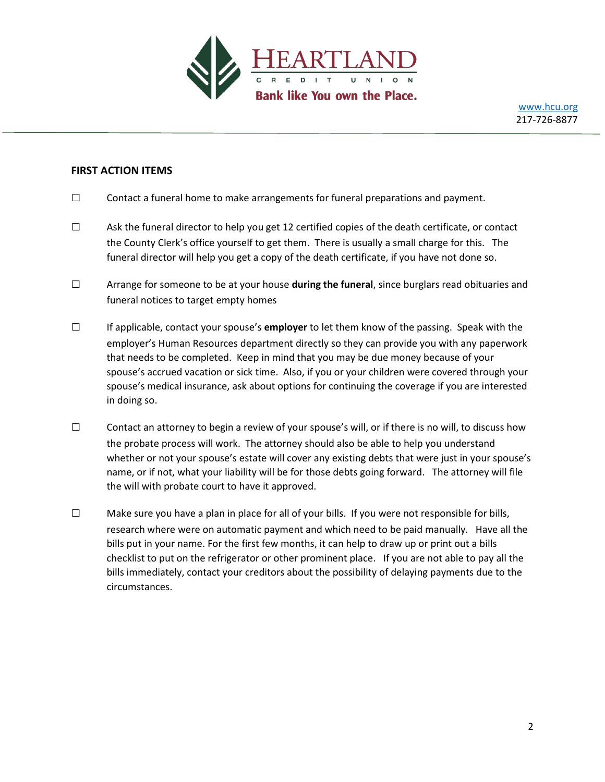

#### **FIRST ACTION ITEMS**

- $\square$  Contact a funeral home to make arrangements for funeral preparations and payment.
- $\square$  Ask the funeral director to help you get 12 certified copies of the death certificate, or contact the County Clerk's office yourself to get them. There is usually a small charge for this. The funeral director will help you get a copy of the death certificate, if you have not done so.
- □ Arrange for someone to be at your house **during the funeral**, since burglars read obituaries and funeral notices to target empty homes
- □ If applicable, contact your spouse's **employer** to let them know of the passing. Speak with the employer's Human Resources department directly so they can provide you with any paperwork that needs to be completed. Keep in mind that you may be due money because of your spouse's accrued vacation or sick time. Also, if you or your children were covered through your spouse's medical insurance, ask about options for continuing the coverage if you are interested in doing so.
- $\square$  Contact an attorney to begin a review of your spouse's will, or if there is no will, to discuss how the probate process will work. The attorney should also be able to help you understand whether or not your spouse's estate will cover any existing debts that were just in your spouse's name, or if not, what your liability will be for those debts going forward. The attorney will file the will with probate court to have it approved.
- $\square$  Make sure you have a plan in place for all of your bills. If you were not responsible for bills, research where were on automatic payment and which need to be paid manually. Have all the bills put in your name. For the first few months, it can help to draw up or print out a bills checklist to put on the refrigerator or other prominent place. If you are not able to pay all the bills immediately, contact your creditors about the possibility of delaying payments due to the circumstances.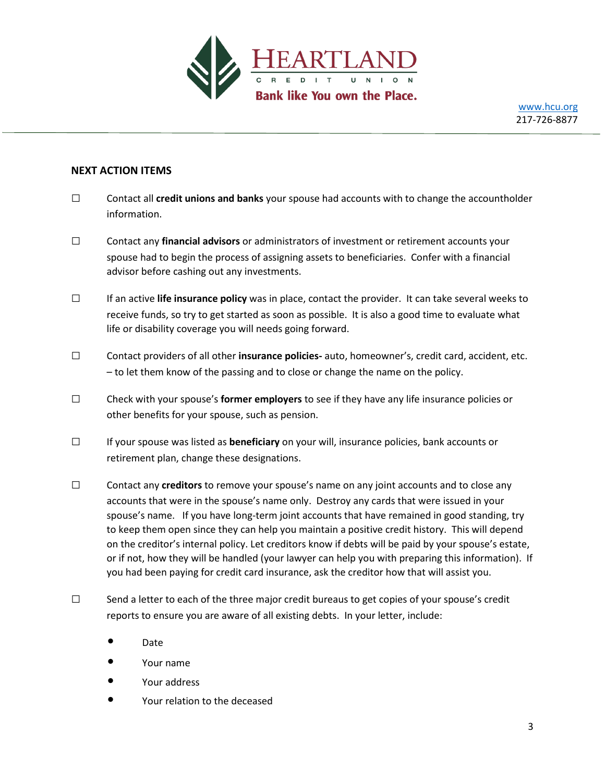

### **NEXT ACTION ITEMS**

- □ Contact all **credit unions and banks** your spouse had accounts with to change the accountholder information.
- □ Contact any **financial advisors** or administrators of investment or retirement accounts your spouse had to begin the process of assigning assets to beneficiaries. Confer with a financial advisor before cashing out any investments.
- □ If an active **life insurance policy** was in place, contact the provider. It can take several weeks to receive funds, so try to get started as soon as possible. It is also a good time to evaluate what life or disability coverage you will needs going forward.
- □ Contact providers of all other **insurance policies-** auto, homeowner's, credit card, accident, etc. – to let them know of the passing and to close or change the name on the policy.
- □ Check with your spouse's **former employers** to see if they have any life insurance policies or other benefits for your spouse, such as pension.
- □ If your spouse was listed as **beneficiary** on your will, insurance policies, bank accounts or retirement plan, change these designations.
- □ Contact any **creditors** to remove your spouse's name on any joint accounts and to close any accounts that were in the spouse's name only. Destroy any cards that were issued in your spouse's name. If you have long-term joint accounts that have remained in good standing, try to keep them open since they can help you maintain a positive credit history. This will depend on the creditor's internal policy. Let creditors know if debts will be paid by your spouse's estate, or if not, how they will be handled (your lawyer can help you with preparing this information). If you had been paying for credit card insurance, ask the creditor how that will assist you.
- $\square$  Send a letter to each of the three major credit bureaus to get copies of your spouse's credit reports to ensure you are aware of all existing debts. In your letter, include:
	- Date
	- Your name
	- Your address
	- Your relation to the deceased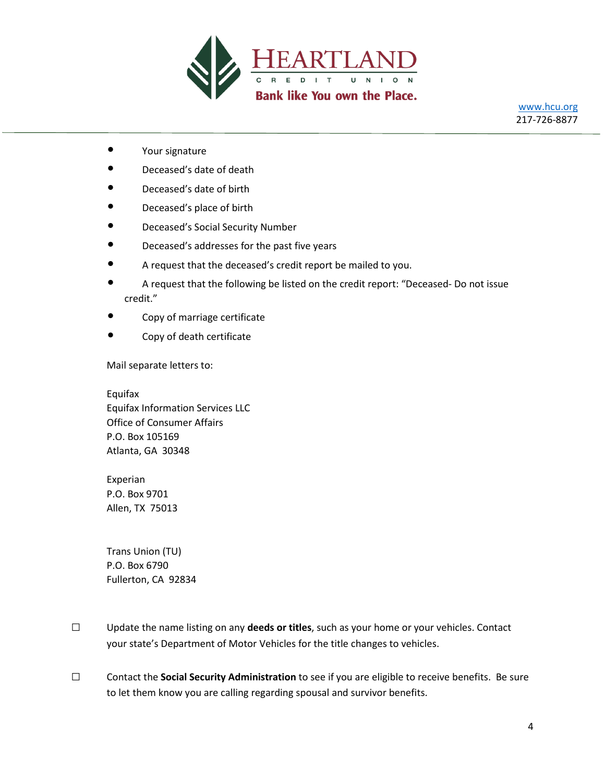

- Your signature
- Deceased's date of death
- Deceased's date of birth
- Deceased's place of birth
- Deceased's Social Security Number
- Deceased's addresses for the past five years
- A request that the deceased's credit report be mailed to you.
- A request that the following be listed on the credit report: "Deceased- Do not issue credit."
- Copy of marriage certificate
- Copy of death certificate

Mail separate letters to:

Equifax Equifax Information Services LLC Office of Consumer Affairs P.O. Box 105169 Atlanta, GA 30348

Experian P.O. Box 9701 Allen, TX 75013

Trans Union (TU) P.O. Box 6790 Fullerton, CA 92834

- □ Update the name listing on any **deeds or titles**, such as your home or your vehicles. Contact your state's Department of Motor Vehicles for the title changes to vehicles.
- □ Contact the **Social Security Administration** to see if you are eligible to receive benefits. Be sure to let them know you are calling regarding spousal and survivor benefits.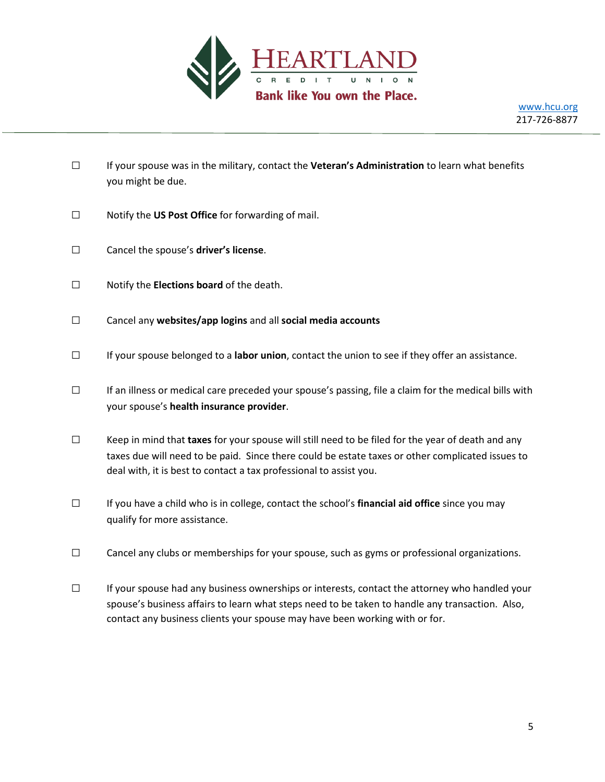

- □ If your spouse was in the military, contact the **Veteran's Administration** to learn what benefits you might be due.
- □ Notify the **US Post Office** for forwarding of mail.
- □ Cancel the spouse's **driver's license**.
- □ Notify the **Elections board** of the death.
- □ Cancel any **websites/app logins** and all **social media accounts**
- □ If your spouse belonged to a **labor union**, contact the union to see if they offer an assistance.
- □ If an illness or medical care preceded your spouse's passing, file a claim for the medical bills with your spouse's **health insurance provider**.
- □ Keep in mind that **taxes** for your spouse will still need to be filed for the year of death and any taxes due will need to be paid. Since there could be estate taxes or other complicated issues to deal with, it is best to contact a tax professional to assist you.
- □ If you have a child who is in college, contact the school's **financial aid office** since you may qualify for more assistance.
- □ Cancel any clubs or memberships for your spouse, such as gyms or professional organizations.
- □ If your spouse had any business ownerships or interests, contact the attorney who handled your spouse's business affairs to learn what steps need to be taken to handle any transaction. Also, contact any business clients your spouse may have been working with or for.